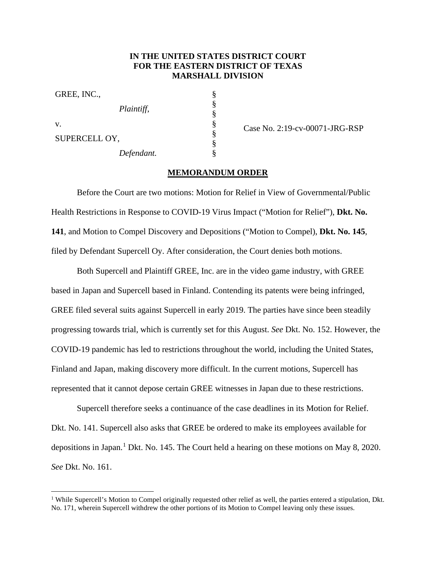## **IN THE UNITED STATES DISTRICT COURT FOR THE EASTERN DISTRICT OF TEXAS MARSHALL DIVISION**

§ § § § § § §

| GREE, INC.,   |            |
|---------------|------------|
|               | Plaintiff, |
| v.            |            |
| SUPERCELL OY, |            |
| Defendant.    |            |

Case No. 2:19-cv-00071-JRG-RSP

## **MEMORANDUM ORDER**

Before the Court are two motions: Motion for Relief in View of Governmental/Public Health Restrictions in Response to COVID-19 Virus Impact ("Motion for Relief"), **Dkt. No. 141**, and Motion to Compel Discovery and Depositions ("Motion to Compel), **Dkt. No. 145**, filed by Defendant Supercell Oy. After consideration, the Court denies both motions.

Both Supercell and Plaintiff GREE, Inc. are in the video game industry, with GREE based in Japan and Supercell based in Finland. Contending its patents were being infringed, GREE filed several suits against Supercell in early 2019. The parties have since been steadily progressing towards trial, which is currently set for this August. *See* Dkt. No. 152. However, the COVID-19 pandemic has led to restrictions throughout the world, including the United States, Finland and Japan, making discovery more difficult. In the current motions, Supercell has represented that it cannot depose certain GREE witnesses in Japan due to these restrictions.

Supercell therefore seeks a continuance of the case deadlines in its Motion for Relief. Dkt. No. 141. Supercell also asks that GREE be ordered to make its employees available for depositions in Japan.<sup>1</sup> Dkt. No. 145. The Court held a hearing on these motions on May 8, 2020. *See* Dkt. No. 161.

<sup>&</sup>lt;sup>1</sup> While Supercell's Motion to Compel originally requested other relief as well, the parties entered a stipulation, Dkt. No. 171, wherein Supercell withdrew the other portions of its Motion to Compel leaving only these issues.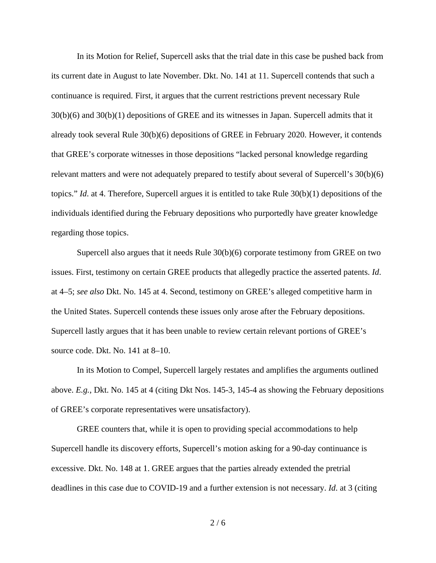In its Motion for Relief, Supercell asks that the trial date in this case be pushed back from its current date in August to late November. Dkt. No. 141 at 11. Supercell contends that such a continuance is required. First, it argues that the current restrictions prevent necessary Rule 30(b)(6) and 30(b)(1) depositions of GREE and its witnesses in Japan. Supercell admits that it already took several Rule 30(b)(6) depositions of GREE in February 2020. However, it contends that GREE's corporate witnesses in those depositions "lacked personal knowledge regarding relevant matters and were not adequately prepared to testify about several of Supercell's 30(b)(6) topics." *Id*. at 4. Therefore, Supercell argues it is entitled to take Rule 30(b)(1) depositions of the individuals identified during the February depositions who purportedly have greater knowledge regarding those topics.

Supercell also argues that it needs Rule 30(b)(6) corporate testimony from GREE on two issues. First, testimony on certain GREE products that allegedly practice the asserted patents. *Id*. at 4–5; *see also* Dkt. No. 145 at 4. Second, testimony on GREE's alleged competitive harm in the United States. Supercell contends these issues only arose after the February depositions. Supercell lastly argues that it has been unable to review certain relevant portions of GREE's source code. Dkt. No. 141 at 8–10.

In its Motion to Compel, Supercell largely restates and amplifies the arguments outlined above. *E.g.*, Dkt. No. 145 at 4 (citing Dkt Nos. 145-3, 145-4 as showing the February depositions of GREE's corporate representatives were unsatisfactory).

GREE counters that, while it is open to providing special accommodations to help Supercell handle its discovery efforts, Supercell's motion asking for a 90-day continuance is excessive. Dkt. No. 148 at 1. GREE argues that the parties already extended the pretrial deadlines in this case due to COVID-19 and a further extension is not necessary. *Id*. at 3 (citing

 $2/6$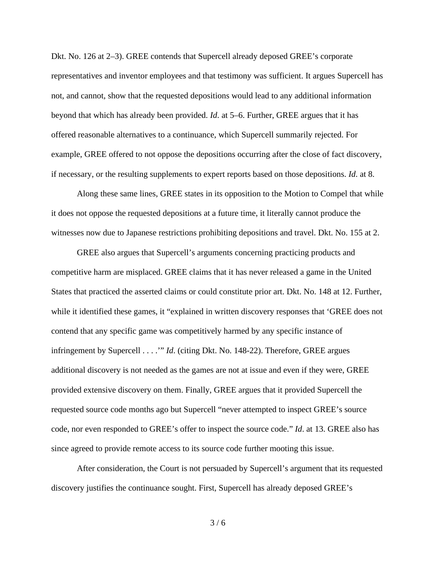Dkt. No. 126 at 2–3). GREE contends that Supercell already deposed GREE's corporate representatives and inventor employees and that testimony was sufficient. It argues Supercell has not, and cannot, show that the requested depositions would lead to any additional information beyond that which has already been provided. *Id*. at 5–6. Further, GREE argues that it has offered reasonable alternatives to a continuance, which Supercell summarily rejected. For example, GREE offered to not oppose the depositions occurring after the close of fact discovery, if necessary, or the resulting supplements to expert reports based on those depositions. *Id*. at 8.

Along these same lines, GREE states in its opposition to the Motion to Compel that while it does not oppose the requested depositions at a future time, it literally cannot produce the witnesses now due to Japanese restrictions prohibiting depositions and travel. Dkt. No. 155 at 2.

GREE also argues that Supercell's arguments concerning practicing products and competitive harm are misplaced. GREE claims that it has never released a game in the United States that practiced the asserted claims or could constitute prior art. Dkt. No. 148 at 12. Further, while it identified these games, it "explained in written discovery responses that 'GREE does not contend that any specific game was competitively harmed by any specific instance of infringement by Supercell . . . .'" *Id*. (citing Dkt. No. 148-22). Therefore, GREE argues additional discovery is not needed as the games are not at issue and even if they were, GREE provided extensive discovery on them. Finally, GREE argues that it provided Supercell the requested source code months ago but Supercell "never attempted to inspect GREE's source code, nor even responded to GREE's offer to inspect the source code." *Id*. at 13. GREE also has since agreed to provide remote access to its source code further mooting this issue.

After consideration, the Court is not persuaded by Supercell's argument that its requested discovery justifies the continuance sought. First, Supercell has already deposed GREE's

 $3/6$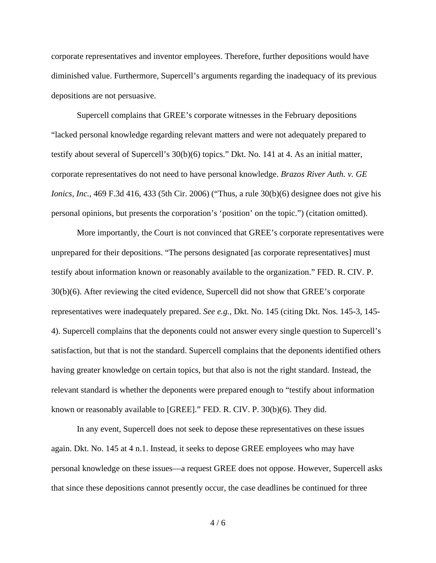corporate representatives and inventor employees. Therefore, further depositions would have diminished value. Furthermore, Supercell's arguments regarding the inadequacy of its previous depositions are not persuasive.

Supercell complains that GREE's corporate witnesses in the February depositions "lacked personal knowledge regarding relevant matters and were not adequately prepared to testify about several of Supercell's 30(b)(6) topics." Dkt. No. 141 at 4. As an initial matter, corporate representatives do not need to have personal knowledge. *Brazos River Auth. v. GE Ionics, Inc.*, 469 F.3d 416, 433 (5th Cir. 2006) ("Thus, a rule 30(b)(6) designee does not give his personal opinions, but presents the corporation's 'position' on the topic.") (citation omitted).

More importantly, the Court is not convinced that GREE's corporate representatives were unprepared for their depositions. "The persons designated [as corporate representatives] must testify about information known or reasonably available to the organization." FED. R. CIV. P. 30(b)(6). After reviewing the cited evidence, Supercell did not show that GREE's corporate representatives were inadequately prepared. *See e.g.*, Dkt. No. 145 (citing Dkt. Nos. 145-3, 145- 4). Supercell complains that the deponents could not answer every single question to Supercell's satisfaction, but that is not the standard. Supercell complains that the deponents identified others having greater knowledge on certain topics, but that also is not the right standard. Instead, the relevant standard is whether the deponents were prepared enough to "testify about information known or reasonably available to [GREE]." FED. R. CIV. P. 30(b)(6). They did.

In any event, Supercell does not seek to depose these representatives on these issues again. Dkt. No. 145 at 4 n.1. Instead, it seeks to depose GREE employees who may have personal knowledge on these issues—a request GREE does not oppose. However, Supercell asks that since these depositions cannot presently occur, the case deadlines be continued for three

 $4/6$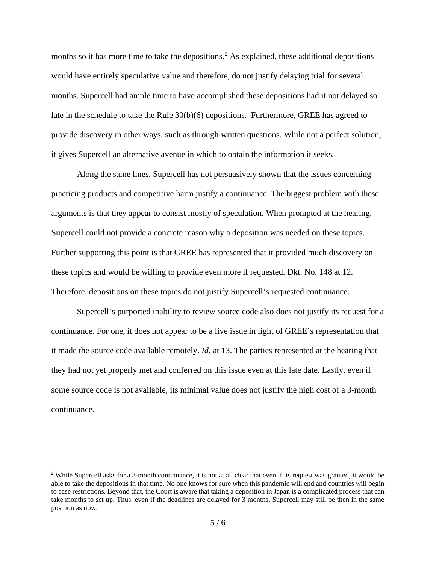months so it has more time to take the depositions.<sup>2</sup> As explained, these additional depositions would have entirely speculative value and therefore, do not justify delaying trial for several months. Supercell had ample time to have accomplished these depositions had it not delayed so late in the schedule to take the Rule 30(b)(6) depositions. Furthermore, GREE has agreed to provide discovery in other ways, such as through written questions. While not a perfect solution, it gives Supercell an alternative avenue in which to obtain the information it seeks.

Along the same lines, Supercell has not persuasively shown that the issues concerning practicing products and competitive harm justify a continuance. The biggest problem with these arguments is that they appear to consist mostly of speculation. When prompted at the hearing, Supercell could not provide a concrete reason why a deposition was needed on these topics. Further supporting this point is that GREE has represented that it provided much discovery on these topics and would be willing to provide even more if requested. Dkt. No. 148 at 12. Therefore, depositions on these topics do not justify Supercell's requested continuance.

Supercell's purported inability to review source code also does not justify its request for a continuance. For one, it does not appear to be a live issue in light of GREE's representation that it made the source code available remotely. *Id*. at 13. The parties represented at the hearing that they had not yet properly met and conferred on this issue even at this late date. Lastly, even if some source code is not available, its minimal value does not justify the high cost of a 3-month continuance.

<sup>&</sup>lt;sup>2</sup> While Supercell asks for a 3-month continuance, it is not at all clear that even if its request was granted, it would be able to take the depositions in that time. No one knows for sure when this pandemic will end and countries will begin to ease restrictions. Beyond that, the Court is aware that taking a deposition in Japan is a complicated process that can take months to set up. Thus, even if the deadlines are delayed for 3 months, Supercell may still be then in the same position as now.